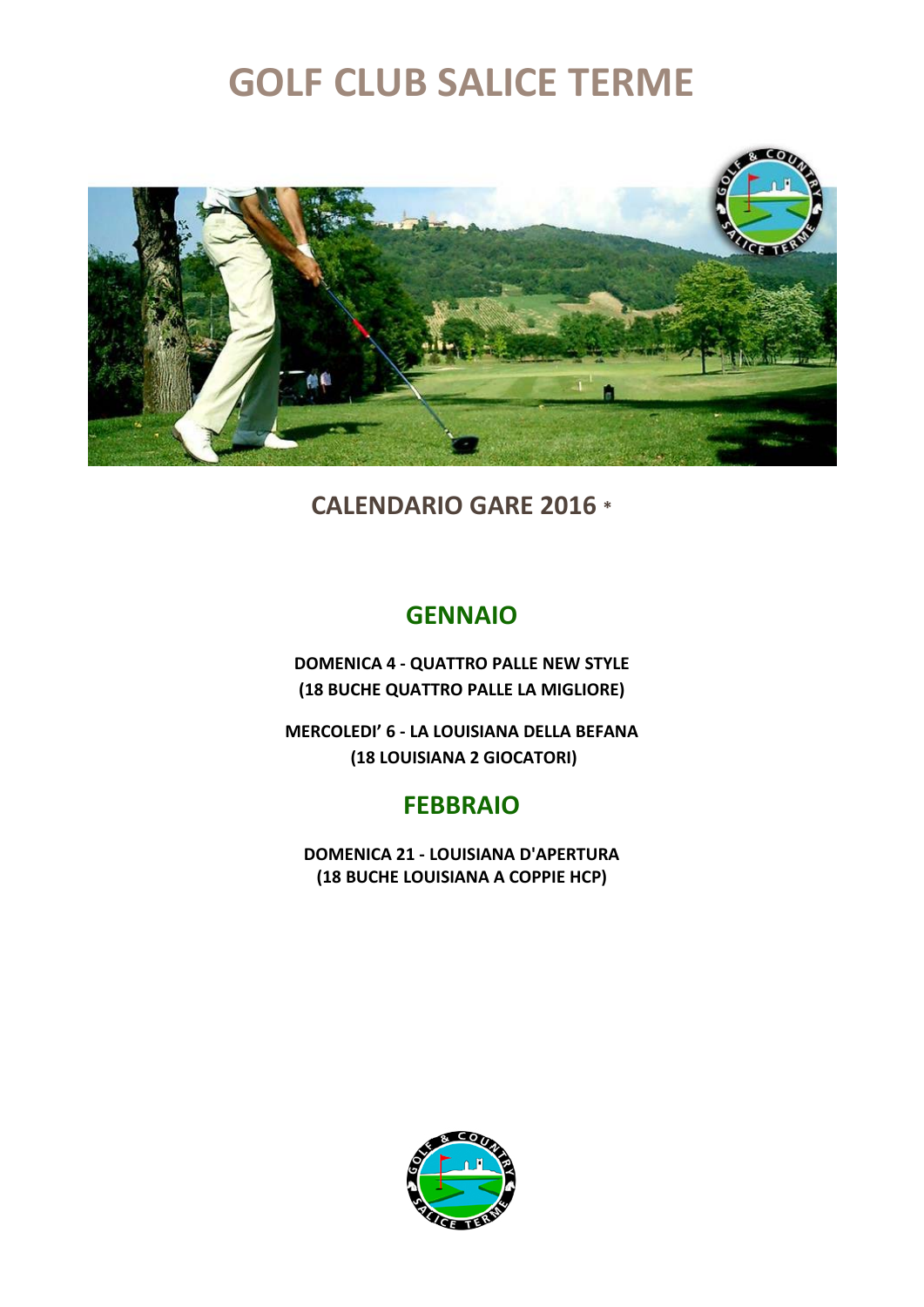

**CALENDARIO GARE 2016 \***

### **GENNAIO**

**DOMENICA 4 - QUATTRO PALLE NEW STYLE (18 BUCHE QUATTRO PALLE LA MIGLIORE)**

**MERCOLEDI' 6 - LA LOUISIANA DELLA BEFANA (18 LOUISIANA 2 GIOCATORI)**

### **FEBBRAIO**

**DOMENICA 21 - LOUISIANA D'APERTURA (18 BUCHE LOUISIANA A COPPIE HCP)**

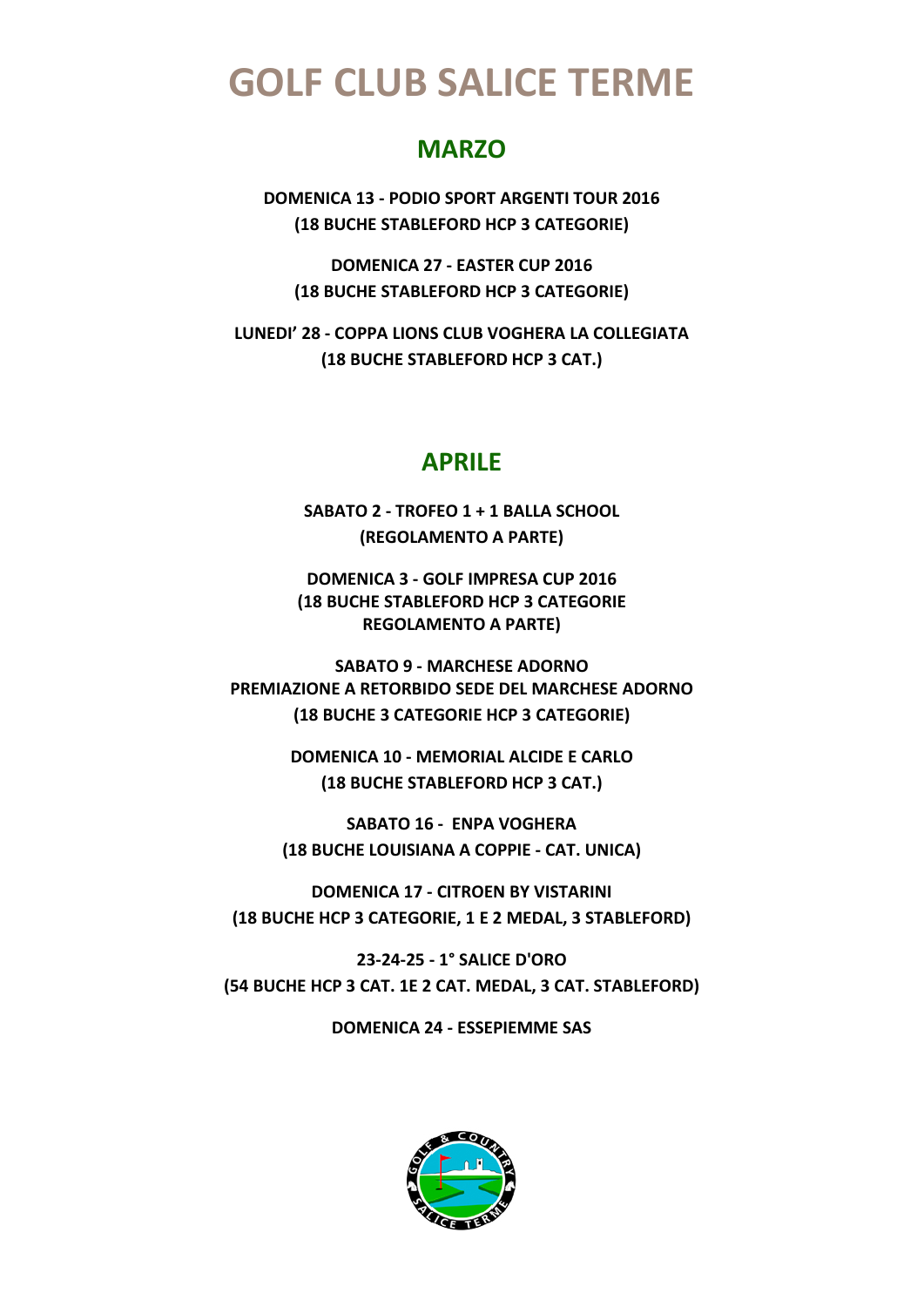### **MARZO**

**DOMENICA 13 - PODIO SPORT ARGENTI TOUR 2016 (18 BUCHE STABLEFORD HCP 3 CATEGORIE)**

**DOMENICA 27 - EASTER CUP 2016 (18 BUCHE STABLEFORD HCP 3 CATEGORIE)**

**LUNEDI' 28 - COPPA LIONS CLUB VOGHERA LA COLLEGIATA (18 BUCHE STABLEFORD HCP 3 CAT.)**

#### **APRILE**

**SABATO 2 - TROFEO 1 + 1 BALLA SCHOOL (REGOLAMENTO A PARTE)**

**DOMENICA 3 - GOLF IMPRESA CUP 2016 (18 BUCHE STABLEFORD HCP 3 CATEGORIE REGOLAMENTO A PARTE)**

**SABATO 9 - MARCHESE ADORNO PREMIAZIONE A RETORBIDO SEDE DEL MARCHESE ADORNO (18 BUCHE 3 CATEGORIE HCP 3 CATEGORIE)**

> **DOMENICA 10 - MEMORIAL ALCIDE E CARLO (18 BUCHE STABLEFORD HCP 3 CAT.)**

**SABATO 16 - ENPA VOGHERA (18 BUCHE LOUISIANA A COPPIE - CAT. UNICA)**

**DOMENICA 17 - CITROEN BY VISTARINI (18 BUCHE HCP 3 CATEGORIE, 1 E 2 MEDAL, 3 STABLEFORD)**

**23-24-25 - 1° SALICE D'ORO (54 BUCHE HCP 3 CAT. 1E 2 CAT. MEDAL, 3 CAT. STABLEFORD)**

**DOMENICA 24 - ESSEPIEMME SAS**

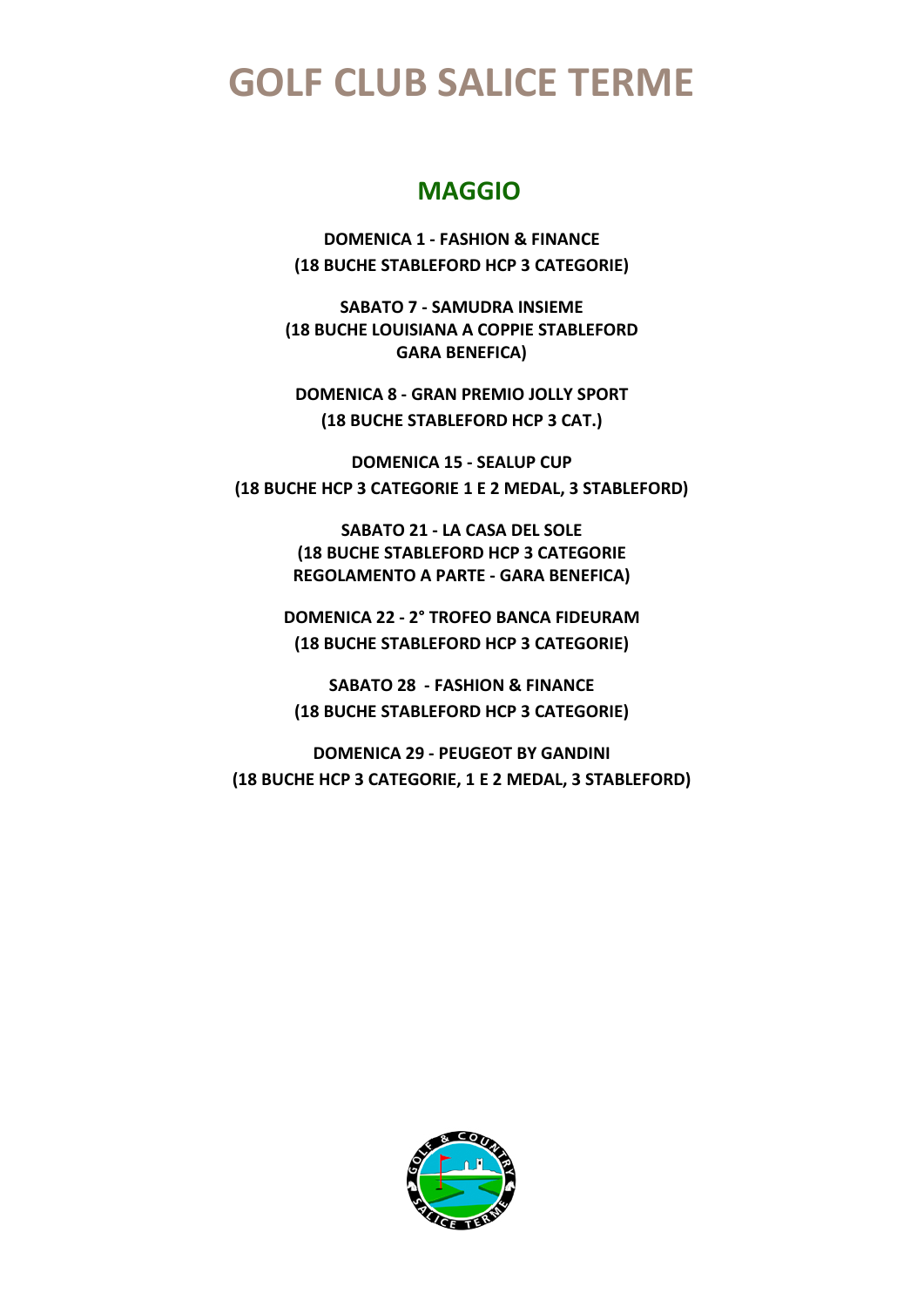### **MAGGIO**

**DOMENICA 1 - FASHION & FINANCE (18 BUCHE STABLEFORD HCP 3 CATEGORIE)**

**SABATO 7 - SAMUDRA INSIEME (18 BUCHE LOUISIANA A COPPIE STABLEFORD GARA BENEFICA)**

**DOMENICA 8 - GRAN PREMIO JOLLY SPORT (18 BUCHE STABLEFORD HCP 3 CAT.)**

**DOMENICA 15 - SEALUP CUP (18 BUCHE HCP 3 CATEGORIE 1 E 2 MEDAL, 3 STABLEFORD)**

> **SABATO 21 - LA CASA DEL SOLE (18 BUCHE STABLEFORD HCP 3 CATEGORIE REGOLAMENTO A PARTE - GARA BENEFICA)**

**DOMENICA 22 - 2° TROFEO BANCA FIDEURAM (18 BUCHE STABLEFORD HCP 3 CATEGORIE)**

**SABATO 28 - FASHION & FINANCE (18 BUCHE STABLEFORD HCP 3 CATEGORIE)**

**DOMENICA 29 - PEUGEOT BY GANDINI (18 BUCHE HCP 3 CATEGORIE, 1 E 2 MEDAL, 3 STABLEFORD)**

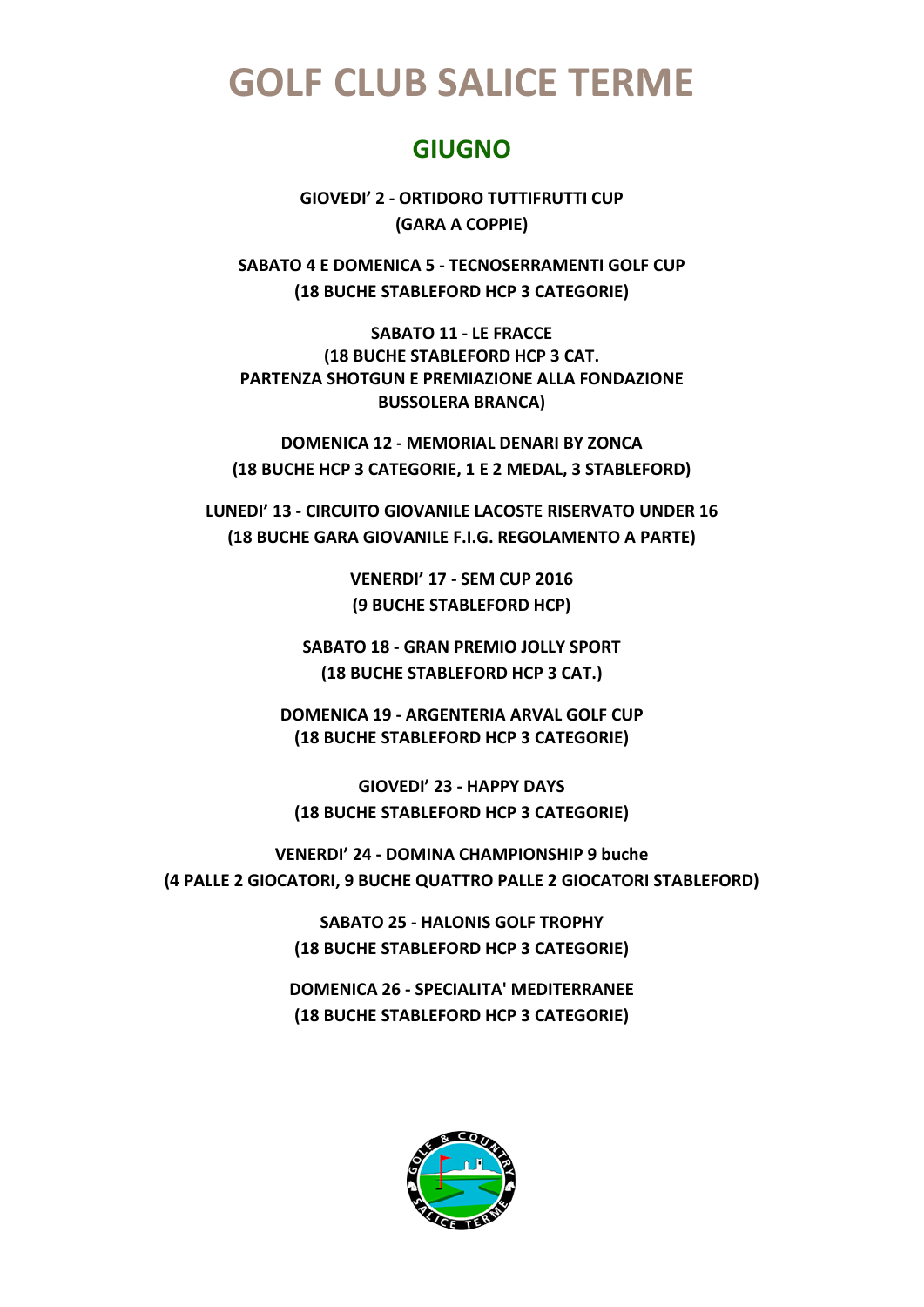### **GIUGNO**

**GIOVEDI' 2 - ORTIDORO TUTTIFRUTTI CUP (GARA A COPPIE)**

**SABATO 4 E DOMENICA 5 - TECNOSERRAMENTI GOLF CUP (18 BUCHE STABLEFORD HCP 3 CATEGORIE)**

**SABATO 11 - LE FRACCE (18 BUCHE STABLEFORD HCP 3 CAT. PARTENZA SHOTGUN E PREMIAZIONE ALLA FONDAZIONE BUSSOLERA BRANCA)**

**DOMENICA 12 - MEMORIAL DENARI BY ZONCA (18 BUCHE HCP 3 CATEGORIE, 1 E 2 MEDAL, 3 STABLEFORD)**

**LUNEDI' 13 - CIRCUITO GIOVANILE LACOSTE RISERVATO UNDER 16 (18 BUCHE GARA GIOVANILE F.I.G. REGOLAMENTO A PARTE)**

> **VENERDI' 17 - SEM CUP 2016 (9 BUCHE STABLEFORD HCP)**

**SABATO 18 - GRAN PREMIO JOLLY SPORT (18 BUCHE STABLEFORD HCP 3 CAT.)**

**DOMENICA 19 - ARGENTERIA ARVAL GOLF CUP (18 BUCHE STABLEFORD HCP 3 CATEGORIE)**

**GIOVEDI' 23 - HAPPY DAYS (18 BUCHE STABLEFORD HCP 3 CATEGORIE)**

**VENERDI' 24 - DOMINA CHAMPIONSHIP 9 buche (4 PALLE 2 GIOCATORI, 9 BUCHE QUATTRO PALLE 2 GIOCATORI STABLEFORD)**

> **SABATO 25 - HALONIS GOLF TROPHY (18 BUCHE STABLEFORD HCP 3 CATEGORIE)**

**DOMENICA 26 - SPECIALITA' MEDITERRANEE (18 BUCHE STABLEFORD HCP 3 CATEGORIE)**

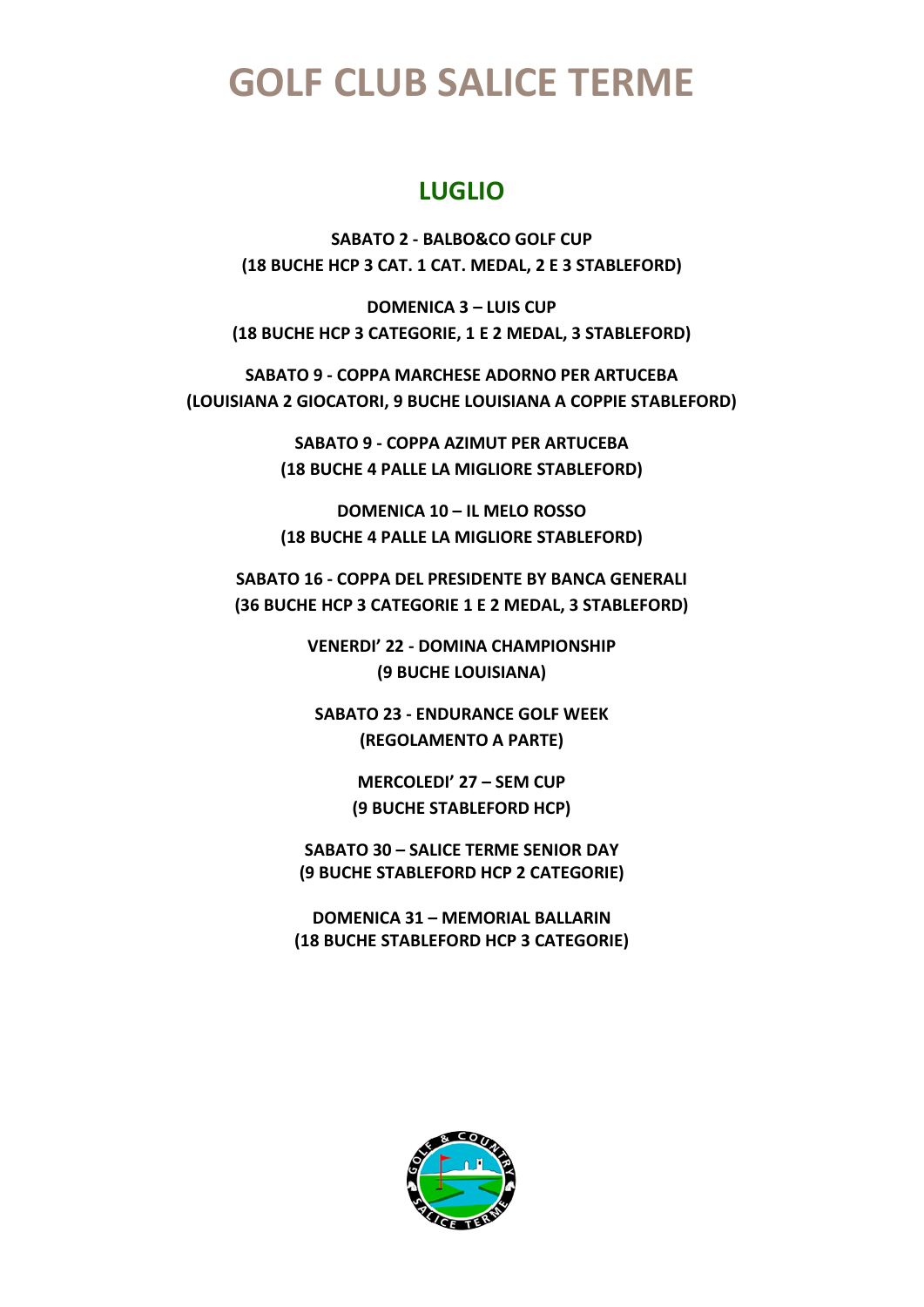### **LUGLIO**

**SABATO 2 - BALBO&CO GOLF CUP (18 BUCHE HCP 3 CAT. 1 CAT. MEDAL, 2 E 3 STABLEFORD)**

**DOMENICA 3 – LUIS CUP (18 BUCHE HCP 3 CATEGORIE, 1 E 2 MEDAL, 3 STABLEFORD)**

**SABATO 9 - COPPA MARCHESE ADORNO PER ARTUCEBA (LOUISIANA 2 GIOCATORI, 9 BUCHE LOUISIANA A COPPIE STABLEFORD)**

> **SABATO 9 - COPPA AZIMUT PER ARTUCEBA (18 BUCHE 4 PALLE LA MIGLIORE STABLEFORD)**

> **DOMENICA 10 – IL MELO ROSSO (18 BUCHE 4 PALLE LA MIGLIORE STABLEFORD)**

**SABATO 16 - COPPA DEL PRESIDENTE BY BANCA GENERALI (36 BUCHE HCP 3 CATEGORIE 1 E 2 MEDAL, 3 STABLEFORD)**

> **VENERDI' 22 - DOMINA CHAMPIONSHIP (9 BUCHE LOUISIANA)**

**SABATO 23 - ENDURANCE GOLF WEEK (REGOLAMENTO A PARTE)**

> **MERCOLEDI' 27 – SEM CUP (9 BUCHE STABLEFORD HCP)**

**SABATO 30 – SALICE TERME SENIOR DAY (9 BUCHE STABLEFORD HCP 2 CATEGORIE)**

**DOMENICA 31 – MEMORIAL BALLARIN (18 BUCHE STABLEFORD HCP 3 CATEGORIE)**

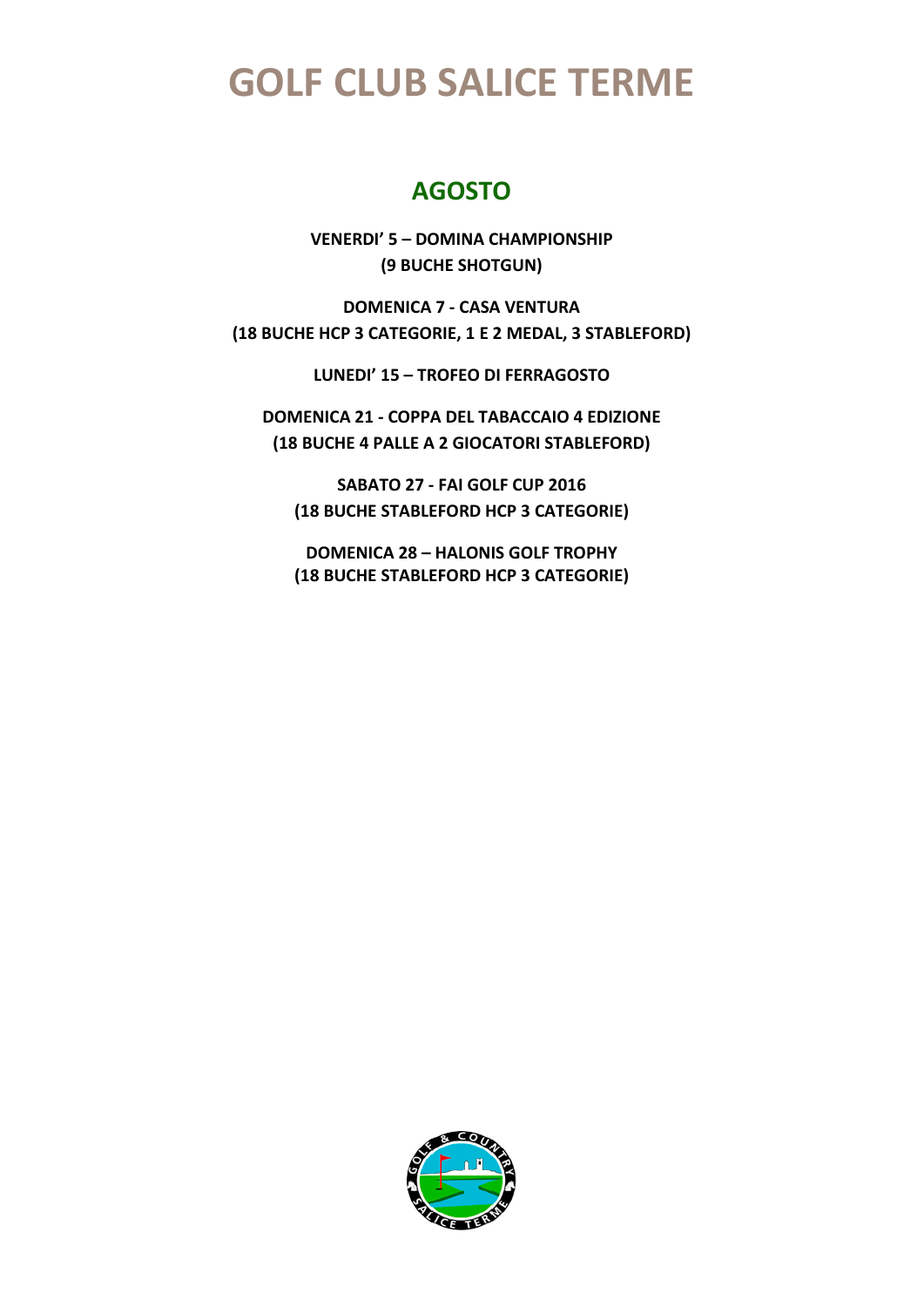### **AGOSTO**

**VENERDI' 5 – DOMINA CHAMPIONSHIP (9 BUCHE SHOTGUN)**

**DOMENICA 7 - CASA VENTURA (18 BUCHE HCP 3 CATEGORIE, 1 E 2 MEDAL, 3 STABLEFORD)**

**LUNEDI' 15 – TROFEO DI FERRAGOSTO** 

**DOMENICA 21 - COPPA DEL TABACCAIO 4 EDIZIONE (18 BUCHE 4 PALLE A 2 GIOCATORI STABLEFORD)**

**SABATO 27 - FAI GOLF CUP 2016 (18 BUCHE STABLEFORD HCP 3 CATEGORIE)**

**DOMENICA 28 – HALONIS GOLF TROPHY (18 BUCHE STABLEFORD HCP 3 CATEGORIE)**

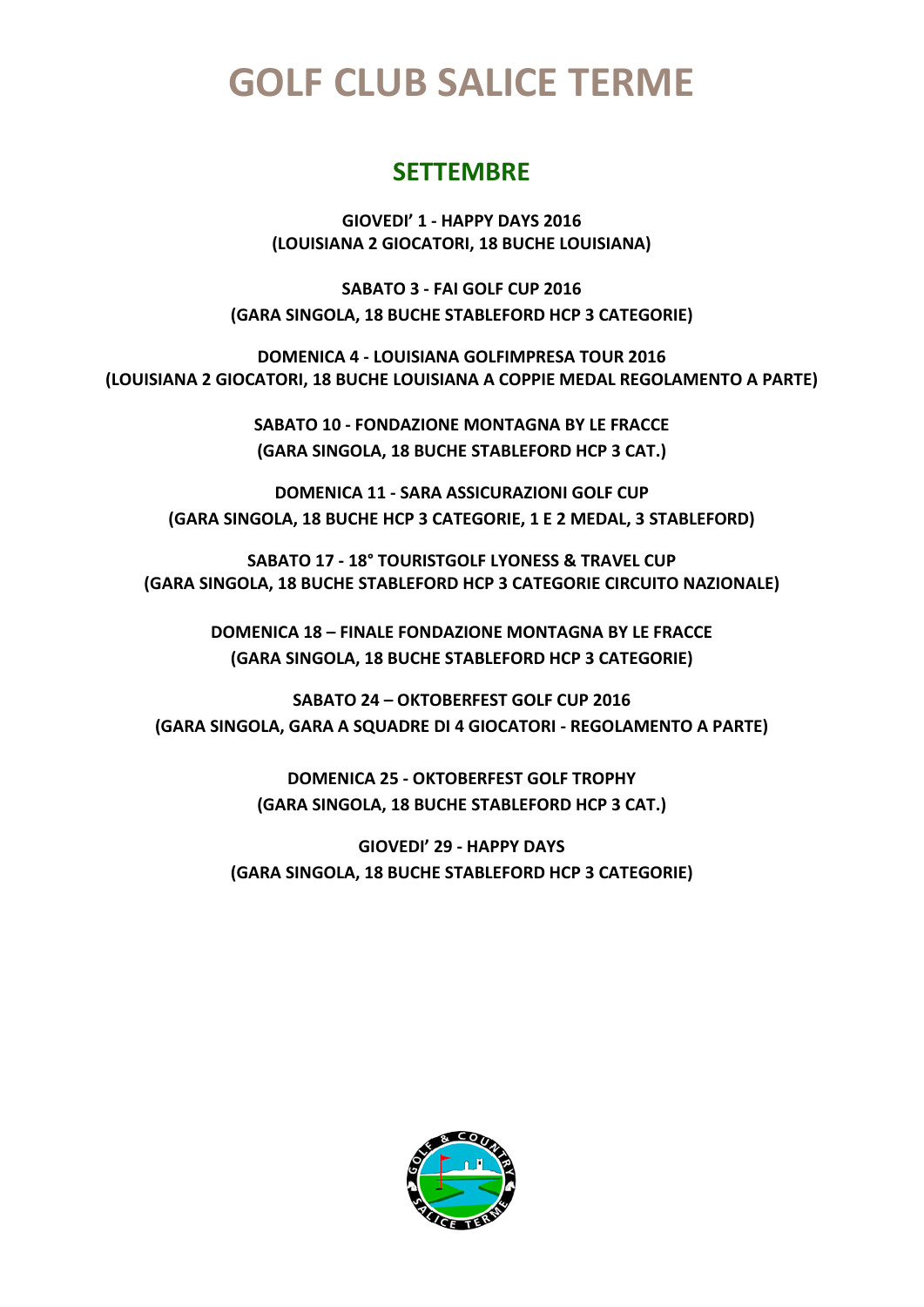### **SETTEMBRE**

**GIOVEDI' 1 - HAPPY DAYS 2016 (LOUISIANA 2 GIOCATORI, 18 BUCHE LOUISIANA)**

**SABATO 3 - FAI GOLF CUP 2016 (GARA SINGOLA, 18 BUCHE STABLEFORD HCP 3 CATEGORIE)**

**DOMENICA 4 - LOUISIANA GOLFIMPRESA TOUR 2016 (LOUISIANA 2 GIOCATORI, 18 BUCHE LOUISIANA A COPPIE MEDAL REGOLAMENTO A PARTE)**

> **SABATO 10 - FONDAZIONE MONTAGNA BY LE FRACCE (GARA SINGOLA, 18 BUCHE STABLEFORD HCP 3 CAT.)**

**DOMENICA 11 - SARA ASSICURAZIONI GOLF CUP (GARA SINGOLA, 18 BUCHE HCP 3 CATEGORIE, 1 E 2 MEDAL, 3 STABLEFORD)**

**SABATO 17 - 18° TOURISTGOLF LYONESS & TRAVEL CUP (GARA SINGOLA, 18 BUCHE STABLEFORD HCP 3 CATEGORIE CIRCUITO NAZIONALE)**

> **DOMENICA 18 – FINALE FONDAZIONE MONTAGNA BY LE FRACCE (GARA SINGOLA, 18 BUCHE STABLEFORD HCP 3 CATEGORIE)**

**SABATO 24 – OKTOBERFEST GOLF CUP 2016 (GARA SINGOLA, GARA A SQUADRE DI 4 GIOCATORI - REGOLAMENTO A PARTE)**

> **DOMENICA 25 - OKTOBERFEST GOLF TROPHY (GARA SINGOLA, 18 BUCHE STABLEFORD HCP 3 CAT.)**

**GIOVEDI' 29 - HAPPY DAYS (GARA SINGOLA, 18 BUCHE STABLEFORD HCP 3 CATEGORIE)**

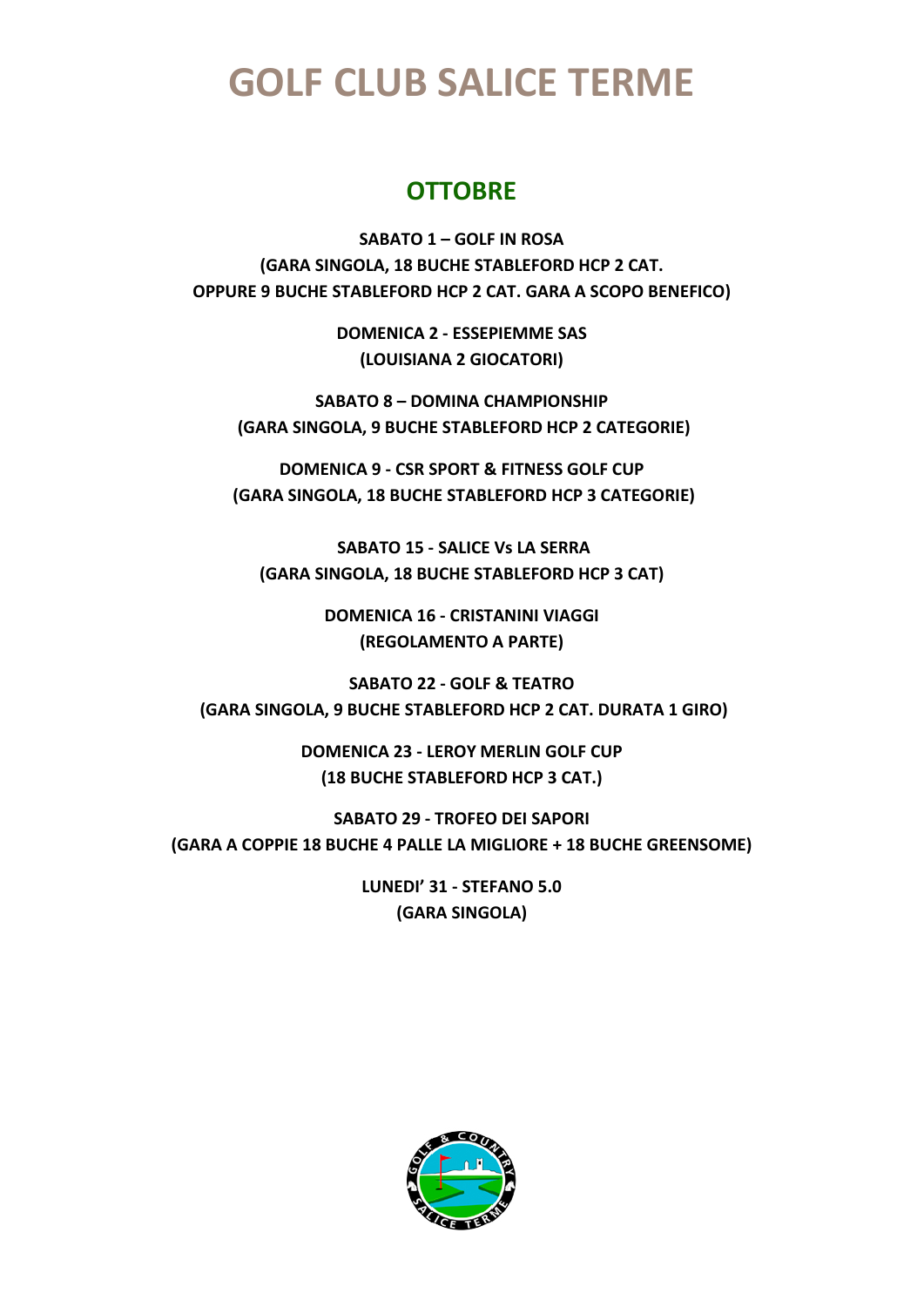### **OTTOBRE**

**SABATO 1 – GOLF IN ROSA (GARA SINGOLA, 18 BUCHE STABLEFORD HCP 2 CAT. OPPURE 9 BUCHE STABLEFORD HCP 2 CAT. GARA A SCOPO BENEFICO)**

> **DOMENICA 2 - ESSEPIEMME SAS (LOUISIANA 2 GIOCATORI)**

**SABATO 8 – DOMINA CHAMPIONSHIP (GARA SINGOLA, 9 BUCHE STABLEFORD HCP 2 CATEGORIE)**

**DOMENICA 9 - CSR SPORT & FITNESS GOLF CUP (GARA SINGOLA, 18 BUCHE STABLEFORD HCP 3 CATEGORIE)**

**SABATO 15 - SALICE Vs LA SERRA (GARA SINGOLA, 18 BUCHE STABLEFORD HCP 3 CAT)**

> **DOMENICA 16 - CRISTANINI VIAGGI (REGOLAMENTO A PARTE)**

**SABATO 22 - GOLF & TEATRO (GARA SINGOLA, 9 BUCHE STABLEFORD HCP 2 CAT. DURATA 1 GIRO)**

> **DOMENICA 23 - LEROY MERLIN GOLF CUP (18 BUCHE STABLEFORD HCP 3 CAT.)**

**SABATO 29 - TROFEO DEI SAPORI (GARA A COPPIE 18 BUCHE 4 PALLE LA MIGLIORE + 18 BUCHE GREENSOME)**

> **LUNEDI' 31 - STEFANO 5.0 (GARA SINGOLA)**

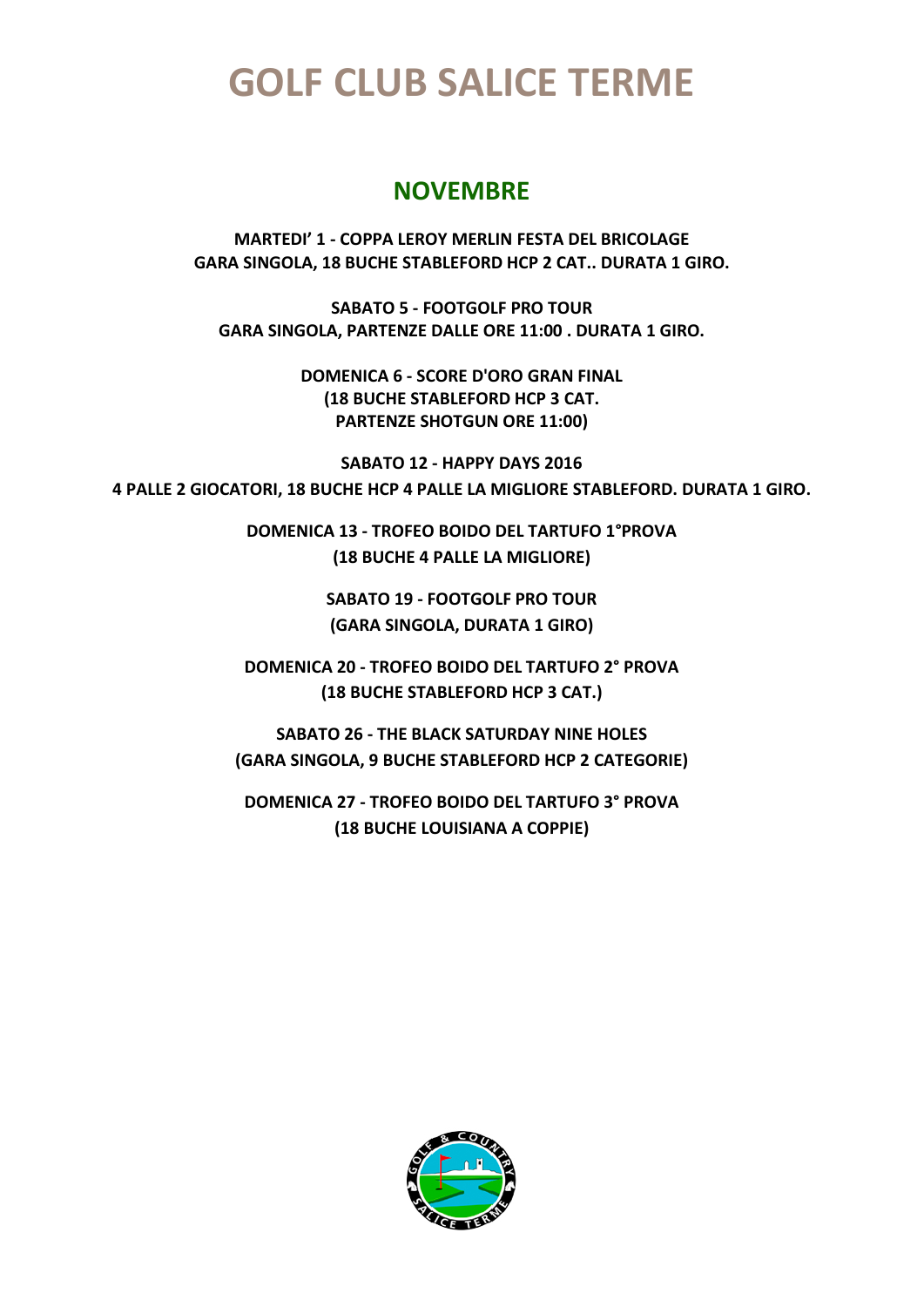#### **NOVEMBRE**

**MARTEDI' 1 - COPPA LEROY MERLIN FESTA DEL BRICOLAGE GARA SINGOLA, 18 BUCHE STABLEFORD HCP 2 CAT.. DURATA 1 GIRO.**

**SABATO 5 - FOOTGOLF PRO TOUR GARA SINGOLA, PARTENZE DALLE ORE 11:00 . DURATA 1 GIRO.**

> **DOMENICA 6 - SCORE D'ORO GRAN FINAL (18 BUCHE STABLEFORD HCP 3 CAT. PARTENZE SHOTGUN ORE 11:00)**

**SABATO 12 - HAPPY DAYS 2016 4 PALLE 2 GIOCATORI, 18 BUCHE HCP 4 PALLE LA MIGLIORE STABLEFORD. DURATA 1 GIRO.**

> **DOMENICA 13 - TROFEO BOIDO DEL TARTUFO 1°PROVA (18 BUCHE 4 PALLE LA MIGLIORE)**

> > **SABATO 19 - FOOTGOLF PRO TOUR (GARA SINGOLA, DURATA 1 GIRO)**

**DOMENICA 20 - TROFEO BOIDO DEL TARTUFO 2° PROVA (18 BUCHE STABLEFORD HCP 3 CAT.)**

**SABATO 26 - THE BLACK SATURDAY NINE HOLES (GARA SINGOLA, 9 BUCHE STABLEFORD HCP 2 CATEGORIE)**

**DOMENICA 27 - TROFEO BOIDO DEL TARTUFO 3° PROVA (18 BUCHE LOUISIANA A COPPIE)**